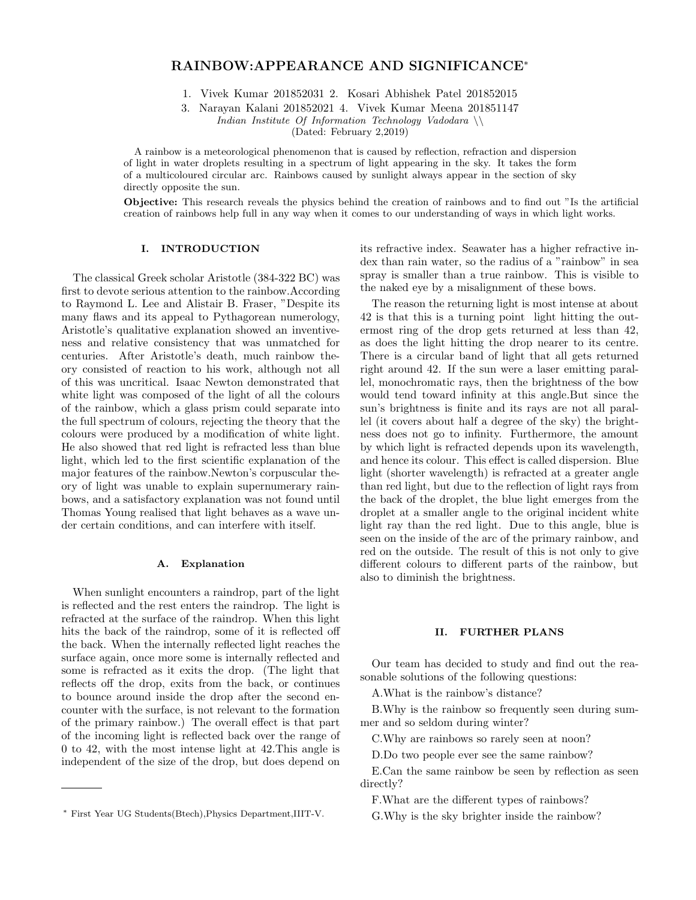# RAINBOW:APPEARANCE AND SIGNIFICANCE<sup>∗</sup>

1. Vivek Kumar 201852031 2. Kosari Abhishek Patel 201852015

3. Narayan Kalani 201852021 4. Vivek Kumar Meena 201851147 Indian Institute Of Information Technology Vadodara  $\setminus$ (Dated: February 2,2019)

A rainbow is a meteorological phenomenon that is caused by reflection, refraction and dispersion of light in water droplets resulting in a spectrum of light appearing in the sky. It takes the form of a multicoloured circular arc. Rainbows caused by sunlight always appear in the section of sky directly opposite the sun.

Objective: This research reveals the physics behind the creation of rainbows and to find out "Is the artificial creation of rainbows help full in any way when it comes to our understanding of ways in which light works.

### I. INTRODUCTION

The classical Greek scholar Aristotle (384-322 BC) was first to devote serious attention to the rainbow.According to Raymond L. Lee and Alistair B. Fraser, "Despite its many flaws and its appeal to Pythagorean numerology, Aristotle's qualitative explanation showed an inventiveness and relative consistency that was unmatched for centuries. After Aristotle's death, much rainbow theory consisted of reaction to his work, although not all of this was uncritical. Isaac Newton demonstrated that white light was composed of the light of all the colours of the rainbow, which a glass prism could separate into the full spectrum of colours, rejecting the theory that the colours were produced by a modification of white light. He also showed that red light is refracted less than blue light, which led to the first scientific explanation of the major features of the rainbow.Newton's corpuscular theory of light was unable to explain supernumerary rainbows, and a satisfactory explanation was not found until Thomas Young realised that light behaves as a wave under certain conditions, and can interfere with itself.

### A. Explanation

When sunlight encounters a raindrop, part of the light is reflected and the rest enters the raindrop. The light is refracted at the surface of the raindrop. When this light hits the back of the raindrop, some of it is reflected off the back. When the internally reflected light reaches the surface again, once more some is internally reflected and some is refracted as it exits the drop. (The light that reflects off the drop, exits from the back, or continues to bounce around inside the drop after the second encounter with the surface, is not relevant to the formation of the primary rainbow.) The overall effect is that part of the incoming light is reflected back over the range of 0 to 42, with the most intense light at 42.This angle is independent of the size of the drop, but does depend on

its refractive index. Seawater has a higher refractive index than rain water, so the radius of a "rainbow" in sea spray is smaller than a true rainbow. This is visible to the naked eye by a misalignment of these bows.

The reason the returning light is most intense at about 42 is that this is a turning point light hitting the outermost ring of the drop gets returned at less than 42, as does the light hitting the drop nearer to its centre. There is a circular band of light that all gets returned right around 42. If the sun were a laser emitting parallel, monochromatic rays, then the brightness of the bow would tend toward infinity at this angle.But since the sun's brightness is finite and its rays are not all parallel (it covers about half a degree of the sky) the brightness does not go to infinity. Furthermore, the amount by which light is refracted depends upon its wavelength, and hence its colour. This effect is called dispersion. Blue light (shorter wavelength) is refracted at a greater angle than red light, but due to the reflection of light rays from the back of the droplet, the blue light emerges from the droplet at a smaller angle to the original incident white light ray than the red light. Due to this angle, blue is seen on the inside of the arc of the primary rainbow, and red on the outside. The result of this is not only to give different colours to different parts of the rainbow, but also to diminish the brightness.

#### II. FURTHER PLANS

Our team has decided to study and find out the reasonable solutions of the following questions:

A.What is the rainbow's distance?

B.Why is the rainbow so frequently seen during summer and so seldom during winter?

C.Why are rainbows so rarely seen at noon?

D.Do two people ever see the same rainbow?

E.Can the same rainbow be seen by reflection as seen directly?

F.What are the different types of rainbows?

G.Why is the sky brighter inside the rainbow?

<sup>∗</sup> First Year UG Students(Btech),Physics Department,IIIT-V.